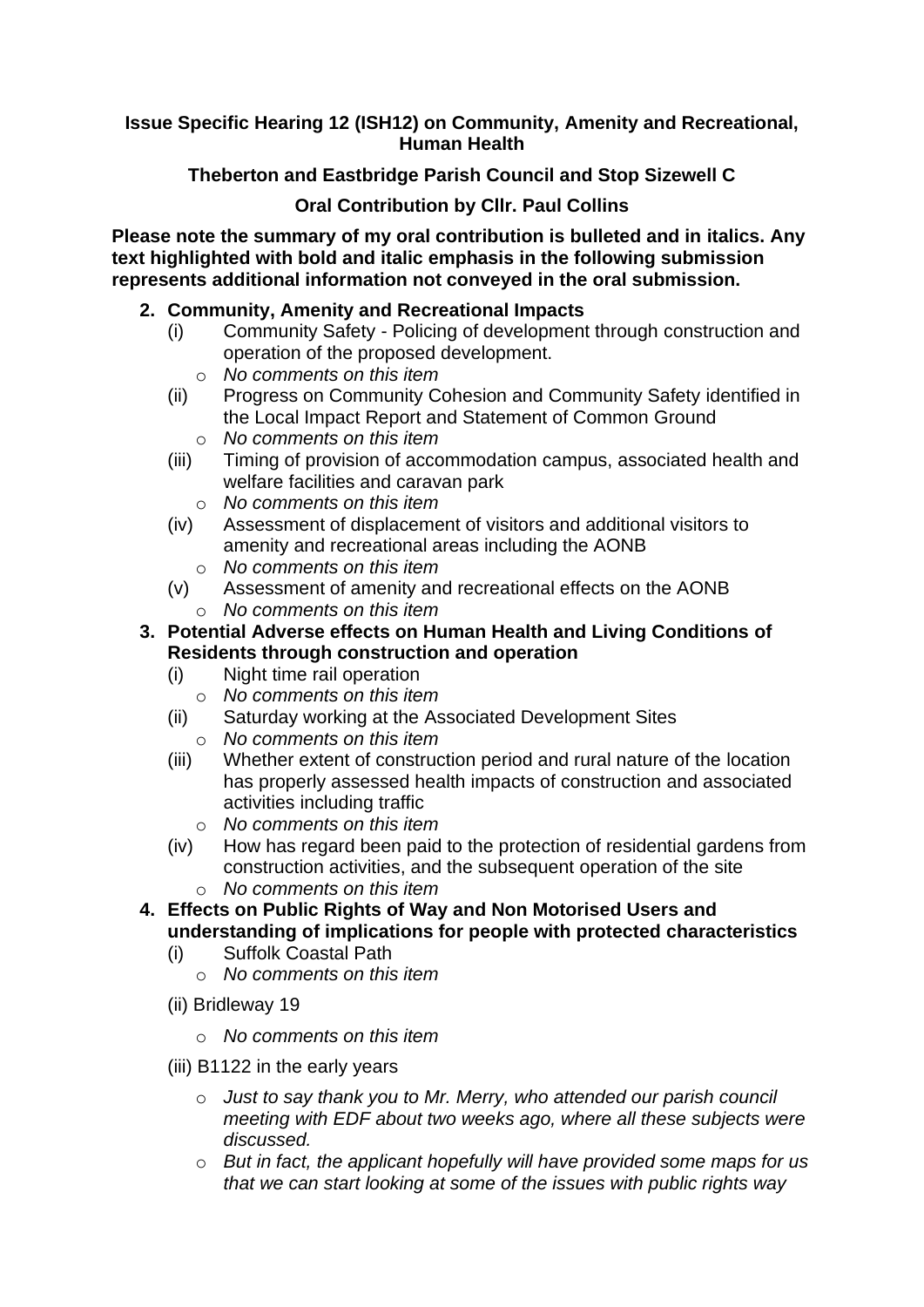**Issue Specific Hearing 12 (ISH12) on Community, Amenity and Recreational, Human Health**

**Theberton and Eastbridge Parish Council and Stop Sizewell C**

## **Oral Contribution by Cllr. Paul Collins**

**Please note the summary of my oral contribution is bulleted and in italics. Any text highlighted with bold and italic emphasis in the following submission represents additional information not conveyed in the oral submission.**

## **2. Community, Amenity and Recreational Impacts**

- (i) Community Safety Policing of development through construction and operation of the proposed development.
	- o *No comments on this item*
- (ii) Progress on Community Cohesion and Community Safety identified in the Local Impact Report and Statement of Common Ground o *No comments on this item*
- (iii) Timing of provision of accommodation campus, associated health and welfare facilities and caravan park
	- o *No comments on this item*
- (iv) Assessment of displacement of visitors and additional visitors to amenity and recreational areas including the AONB
	- o *No comments on this item*
- (v) Assessment of amenity and recreational effects on the AONB
	- o *No comments on this item*
- **3. Potential Adverse effects on Human Health and Living Conditions of Residents through construction and operation**
	- (i) Night time rail operation
		- o *No comments on this item*
	- (ii) Saturday working at the Associated Development Sites o *No comments on this item*
	- (iii) Whether extent of construction period and rural nature of the location has properly assessed health impacts of construction and associated activities including traffic
		- o *No comments on this item*
	- (iv) How has regard been paid to the protection of residential gardens from construction activities, and the subsequent operation of the site
		- o *No comments on this item*
- **4. Effects on Public Rights of Way and Non Motorised Users and understanding of implications for people with protected characteristics**
	- (i) Suffolk Coastal Path
		- o *No comments on this item*
	- (ii) Bridleway 19
		- o *No comments on this item*
	- (iii) B1122 in the early years
		- o *Just to say thank you to Mr. Merry, who attended our parish council meeting with EDF about two weeks ago, where all these subjects were discussed.*
		- o *But in fact, the applicant hopefully will have provided some maps for us that we can start looking at some of the issues with public rights way*